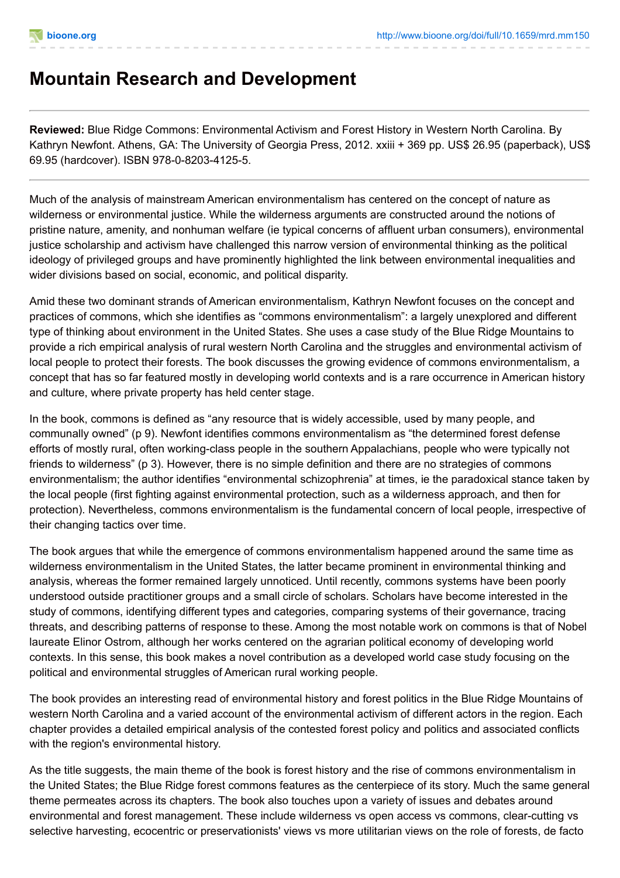## **Mountain Research and Development**

**Reviewed:** Blue Ridge Commons: Environmental Activism and Forest History in Western North Carolina. By Kathryn Newfont. Athens, GA: The University of Georgia Press, 2012. xxiii + 369 pp. US\$ 26.95 (paperback), US\$ 69.95 (hardcover). ISBN 978-0-8203-4125-5.

Much of the analysis of mainstream American environmentalism has centered on the concept of nature as wilderness or environmental justice. While the wilderness arguments are constructed around the notions of pristine nature, amenity, and nonhuman welfare (ie typical concerns of affluent urban consumers), environmental justice scholarship and activism have challenged this narrow version of environmental thinking as the political ideology of privileged groups and have prominently highlighted the link between environmental inequalities and wider divisions based on social, economic, and political disparity.

Amid these two dominant strands of American environmentalism, Kathryn Newfont focuses on the concept and practices of commons, which she identifies as "commons environmentalism": a largely unexplored and different type of thinking about environment in the United States. She uses a case study of the Blue Ridge Mountains to provide a rich empirical analysis of rural western North Carolina and the struggles and environmental activism of local people to protect their forests. The book discusses the growing evidence of commons environmentalism, a concept that has so far featured mostly in developing world contexts and is a rare occurrence in American history and culture, where private property has held center stage.

In the book, commons is defined as "any resource that is widely accessible, used by many people, and communally owned" (p 9). Newfont identifies commons environmentalism as "the determined forest defense efforts of mostly rural, often working-class people in the southern Appalachians, people who were typically not friends to wilderness" (p 3). However, there is no simple definition and there are no strategies of commons environmentalism; the author identifies "environmental schizophrenia" at times, ie the paradoxical stance taken by the local people (first fighting against environmental protection, such as a wilderness approach, and then for protection). Nevertheless, commons environmentalism is the fundamental concern of local people, irrespective of their changing tactics over time.

The book argues that while the emergence of commons environmentalism happened around the same time as wilderness environmentalism in the United States, the latter became prominent in environmental thinking and analysis, whereas the former remained largely unnoticed. Until recently, commons systems have been poorly understood outside practitioner groups and a small circle of scholars. Scholars have become interested in the study of commons, identifying different types and categories, comparing systems of their governance, tracing threats, and describing patterns of response to these. Among the most notable work on commons is that of Nobel laureate Elinor Ostrom, although her works centered on the agrarian political economy of developing world contexts. In this sense, this book makes a novel contribution as a developed world case study focusing on the political and environmental struggles of American rural working people.

The book provides an interesting read of environmental history and forest politics in the Blue Ridge Mountains of western North Carolina and a varied account of the environmental activism of different actors in the region. Each chapter provides a detailed empirical analysis of the contested forest policy and politics and associated conflicts with the region's environmental history.

As the title suggests, the main theme of the book is forest history and the rise of commons environmentalism in the United States; the Blue Ridge forest commons features as the centerpiece of its story. Much the same general theme permeates across its chapters. The book also touches upon a variety of issues and debates around environmental and forest management. These include wilderness vs open access vs commons, clear-cutting vs selective harvesting, ecocentric or preservationists' views vs more utilitarian views on the role of forests, de facto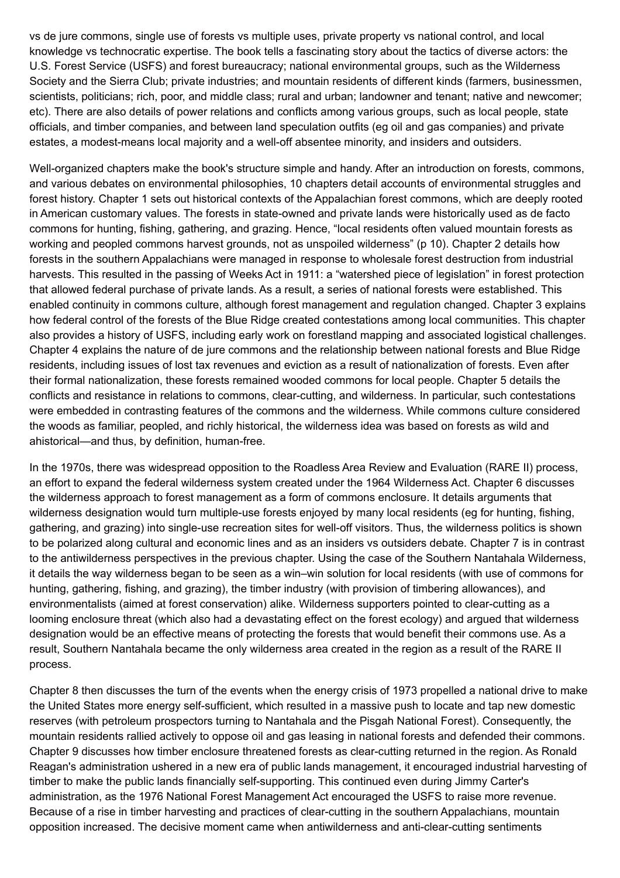vs de jure commons, single use of forests vs multiple uses, private property vs national control, and local knowledge vs technocratic expertise. The book tells a fascinating story about the tactics of diverse actors: the U.S. Forest Service (USFS) and forest bureaucracy; national environmental groups, such as the Wilderness Society and the Sierra Club; private industries; and mountain residents of different kinds (farmers, businessmen, scientists, politicians; rich, poor, and middle class; rural and urban; landowner and tenant; native and newcomer; etc). There are also details of power relations and conflicts among various groups, such as local people, state officials, and timber companies, and between land speculation outfits (eg oil and gas companies) and private estates, a modest-means local majority and a well-off absentee minority, and insiders and outsiders.

Well-organized chapters make the book's structure simple and handy. After an introduction on forests, commons, and various debates on environmental philosophies, 10 chapters detail accounts of environmental struggles and forest history. Chapter 1 sets out historical contexts of the Appalachian forest commons, which are deeply rooted in American customary values. The forests in state-owned and private lands were historically used as de facto commons for hunting, fishing, gathering, and grazing. Hence, "local residents often valued mountain forests as working and peopled commons harvest grounds, not as unspoiled wilderness" (p 10). Chapter 2 details how forests in the southern Appalachians were managed in response to wholesale forest destruction from industrial harvests. This resulted in the passing of Weeks Act in 1911: a "watershed piece of legislation" in forest protection that allowed federal purchase of private lands. As a result, a series of national forests were established. This enabled continuity in commons culture, although forest management and regulation changed. Chapter 3 explains how federal control of the forests of the Blue Ridge created contestations among local communities. This chapter also provides a history of USFS, including early work on forestland mapping and associated logistical challenges. Chapter 4 explains the nature of de jure commons and the relationship between national forests and Blue Ridge residents, including issues of lost tax revenues and eviction as a result of nationalization of forests. Even after their formal nationalization, these forests remained wooded commons for local people. Chapter 5 details the conflicts and resistance in relations to commons, clear-cutting, and wilderness. In particular, such contestations were embedded in contrasting features of the commons and the wilderness. While commons culture considered the woods as familiar, peopled, and richly historical, the wilderness idea was based on forests as wild and ahistorical—and thus, by definition, human-free.

In the 1970s, there was widespread opposition to the Roadless Area Review and Evaluation (RARE II) process, an effort to expand the federal wilderness system created under the 1964 Wilderness Act. Chapter 6 discusses the wilderness approach to forest management as a form of commons enclosure. It details arguments that wilderness designation would turn multiple-use forests enjoyed by many local residents (eg for hunting, fishing, gathering, and grazing) into single-use recreation sites for well-off visitors. Thus, the wilderness politics is shown to be polarized along cultural and economic lines and as an insiders vs outsiders debate. Chapter 7 is in contrast to the antiwilderness perspectives in the previous chapter. Using the case of the Southern Nantahala Wilderness, it details the way wilderness began to be seen as a win–win solution for local residents (with use of commons for hunting, gathering, fishing, and grazing), the timber industry (with provision of timbering allowances), and environmentalists (aimed at forest conservation) alike. Wilderness supporters pointed to clear-cutting as a looming enclosure threat (which also had a devastating effect on the forest ecology) and argued that wilderness designation would be an effective means of protecting the forests that would benefit their commons use. As a result, Southern Nantahala became the only wilderness area created in the region as a result of the RARE II process.

Chapter 8 then discusses the turn of the events when the energy crisis of 1973 propelled a national drive to make the United States more energy self-sufficient, which resulted in a massive push to locate and tap new domestic reserves (with petroleum prospectors turning to Nantahala and the Pisgah National Forest). Consequently, the mountain residents rallied actively to oppose oil and gas leasing in national forests and defended their commons. Chapter 9 discusses how timber enclosure threatened forests as clear-cutting returned in the region. As Ronald Reagan's administration ushered in a new era of public lands management, it encouraged industrial harvesting of timber to make the public lands financially self-supporting. This continued even during Jimmy Carter's administration, as the 1976 National Forest Management Act encouraged the USFS to raise more revenue. Because of a rise in timber harvesting and practices of clear-cutting in the southern Appalachians, mountain opposition increased. The decisive moment came when antiwilderness and anti-clear-cutting sentiments